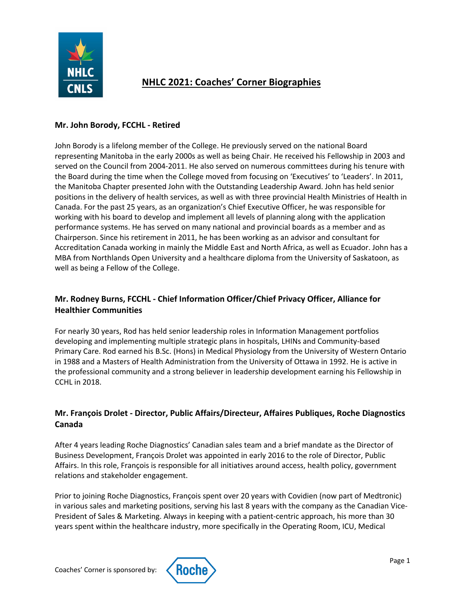

# **NHLC 2021: Coaches' Corner Biographies**

# **Mr. John Borody, FCCHL - Retired**

John Borody is a lifelong member of the College. He previously served on the national Board representing Manitoba in the early 2000s as well as being Chair. He received his Fellowship in 2003 and served on the Council from 2004-2011. He also served on numerous committees during his tenure with the Board during the time when the College moved from focusing on 'Executives' to 'Leaders'. In 2011, the Manitoba Chapter presented John with the Outstanding Leadership Award. John has held senior positions in the delivery of health services, as well as with three provincial Health Ministries of Health in Canada. For the past 25 years, as an organization's Chief Executive Officer, he was responsible for working with his board to develop and implement all levels of planning along with the application performance systems. He has served on many national and provincial boards as a member and as Chairperson. Since his retirement in 2011, he has been working as an advisor and consultant for Accreditation Canada working in mainly the Middle East and North Africa, as well as Ecuador. John has a MBA from Northlands Open University and a healthcare diploma from the University of Saskatoon, as well as being a Fellow of the College.

# **Mr. Rodney Burns, FCCHL - Chief Information Officer/Chief Privacy Officer, Alliance for Healthier Communities**

For nearly 30 years, Rod has held senior leadership roles in Information Management portfolios developing and implementing multiple strategic plans in hospitals, LHINs and Community-based Primary Care. Rod earned his B.Sc. (Hons) in Medical Physiology from the University of Western Ontario in 1988 and a Masters of Health Administration from the University of Ottawa in 1992. He is active in the professional community and a strong believer in leadership development earning his Fellowship in CCHL in 2018.

# **Mr. François Drolet - Director, Public Affairs/Directeur, Affaires Publiques, Roche Diagnostics Canada**

After 4 years leading Roche Diagnostics' Canadian sales team and a brief mandate as the Director of Business Development, François Drolet was appointed in early 2016 to the role of Director, Public Affairs. In this role, François is responsible for all initiatives around access, health policy, government relations and stakeholder engagement.

Prior to joining Roche Diagnostics, François spent over 20 years with Covidien (now part of Medtronic) in various sales and marketing positions, serving his last 8 years with the company as the Canadian Vice-President of Sales & Marketing. Always in keeping with a patient-centric approach, his more than 30 years spent within the healthcare industry, more specifically in the Operating Room, ICU, Medical

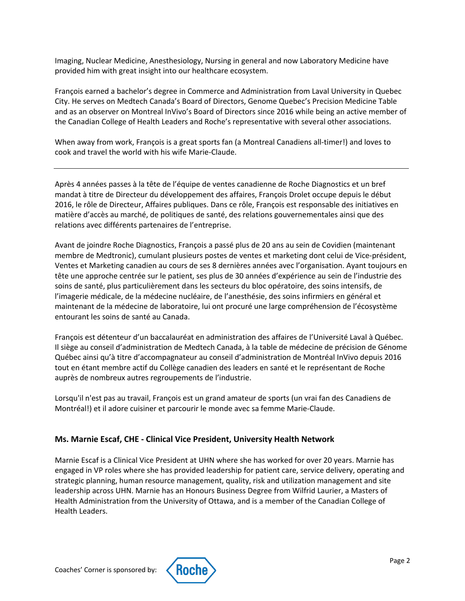Imaging, Nuclear Medicine, Anesthesiology, Nursing in general and now Laboratory Medicine have provided him with great insight into our healthcare ecosystem.

François earned a bachelor's degree in Commerce and Administration from Laval University in Quebec City. He serves on Medtech Canada's Board of Directors, Genome Quebec's Precision Medicine Table and as an observer on Montreal InVivo's Board of Directors since 2016 while being an active member of the Canadian College of Health Leaders and Roche's representative with several other associations.

When away from work, François is a great sports fan (a Montreal Canadiens all-timer!) and loves to cook and travel the world with his wife Marie-Claude.

Après 4 années passes à la tête de l'équipe de ventes canadienne de Roche Diagnostics et un bref mandat à titre de Directeur du développement des affaires, François Drolet occupe depuis le début 2016, le rôle de Directeur, Affaires publiques. Dans ce rôle, François est responsable des initiatives en matière d'accès au marché, de politiques de santé, des relations gouvernementales ainsi que des relations avec différents partenaires de l'entreprise.

Avant de joindre Roche Diagnostics, François a passé plus de 20 ans au sein de Covidien (maintenant membre de Medtronic), cumulant plusieurs postes de ventes et marketing dont celui de Vice-président, Ventes et Marketing canadien au cours de ses 8 dernières années avec l'organisation. Ayant toujours en tête une approche centrée sur le patient, ses plus de 30 années d'expérience au sein de l'industrie des soins de santé, plus particulièrement dans les secteurs du bloc opératoire, des soins intensifs, de l'imagerie médicale, de la médecine nucléaire, de l'anesthésie, des soins infirmiers en général et maintenant de la médecine de laboratoire, lui ont procuré une large compréhension de l'écosystème entourant les soins de santé au Canada.

François est détenteur d'un baccalauréat en administration des affaires de l'Université Laval à Québec. Il siège au conseil d'administration de Medtech Canada, à la table de médecine de précision de Génome Québec ainsi qu'à titre d'accompagnateur au conseil d'administration de Montréal InVivo depuis 2016 tout en étant membre actif du Collège canadien des leaders en santé et le représentant de Roche auprès de nombreux autres regroupements de l'industrie.

Lorsqu'il n'est pas au travail, François est un grand amateur de sports (un vrai fan des Canadiens de Montréal!) et il adore cuisiner et parcourir le monde avec sa femme Marie-Claude.

#### **Ms. Marnie Escaf, CHE - Clinical Vice President, University Health Network**

Marnie Escaf is a Clinical Vice President at UHN where she has worked for over 20 years. Marnie has engaged in VP roles where she has provided leadership for patient care, service delivery, operating and strategic planning, human resource management, quality, risk and utilization management and site leadership across UHN. Marnie has an Honours Business Degree from Wilfrid Laurier, a Masters of Health Administration from the University of Ottawa, and is a member of the Canadian College of Health Leaders.

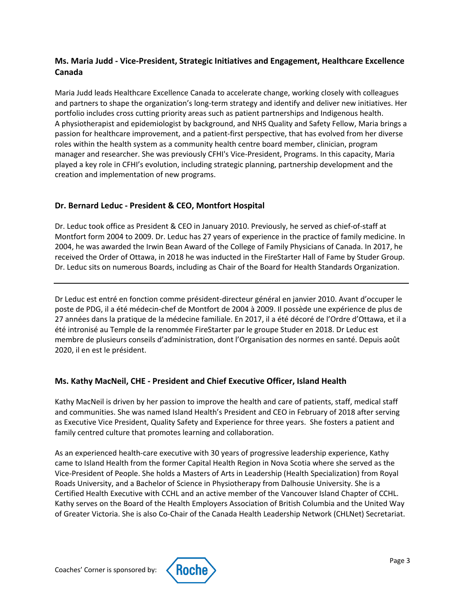# **Ms. Maria Judd - Vice-President, Strategic Initiatives and Engagement, Healthcare Excellence Canada**

Maria Judd leads Healthcare Excellence Canada to accelerate change, working closely with colleagues and partners to shape the organization's long-term strategy and identify and deliver new initiatives. Her portfolio includes cross cutting priority areas such as patient partnerships and Indigenous health. A physiotherapist and epidemiologist by background, and NHS Quality and Safety Fellow, Maria brings a passion for healthcare improvement, and a patient-first perspective, that has evolved from her diverse roles within the health system as a community health centre board member, clinician, program manager and researcher. She was previously CFHI's Vice-President, Programs. In this capacity, Maria played a key role in CFHI's evolution, including strategic planning, partnership development and the creation and implementation of new programs.

#### **Dr. Bernard Leduc - President & CEO, Montfort Hospital**

Dr. Leduc took office as President & CEO in January 2010. Previously, he served as chief-of-staff at Montfort form 2004 to 2009. Dr. Leduc has 27 years of experience in the practice of family medicine. In 2004, he was awarded the Irwin Bean Award of the College of Family Physicians of Canada. In 2017, he received the Order of Ottawa, in 2018 he was inducted in the FireStarter Hall of Fame by Studer Group. Dr. Leduc sits on numerous Boards, including as Chair of the Board for Health Standards Organization.

Dr Leduc est entré en fonction comme président-directeur général en janvier 2010. Avant d'occuper le poste de PDG, il a été médecin-chef de Montfort de 2004 à 2009. Il possède une expérience de plus de 27 années dans la pratique de la médecine familiale. En 2017, il a été décoré de l'Ordre d'Ottawa, et il a été intronisé au Temple de la renommée FireStarter par le groupe Studer en 2018. Dr Leduc est membre de plusieurs conseils d'administration, dont l'Organisation des normes en santé. Depuis août 2020, il en est le président.

#### **Ms. Kathy MacNeil, CHE - President and Chief Executive Officer, Island Health**

Kathy MacNeil is driven by her passion to improve the health and care of patients, staff, medical staff and communities. She was named Island Health's President and CEO in February of 2018 after serving as Executive Vice President, Quality Safety and Experience for three years. She fosters a patient and family centred culture that promotes learning and collaboration.

As an experienced health-care executive with 30 years of progressive leadership experience, Kathy came to Island Health from the former Capital Health Region in Nova Scotia where she served as the Vice-President of People. She holds a Masters of Arts in Leadership (Health Specialization) from Royal Roads University, and a Bachelor of Science in Physiotherapy from Dalhousie University. She is a Certified Health Executive with CCHL and an active member of the Vancouver Island Chapter of CCHL. Kathy serves on the Board of the Health Employers Association of British Columbia and the United Way of Greater Victoria. She is also Co-Chair of the Canada Health Leadership Network (CHLNet) Secretariat.

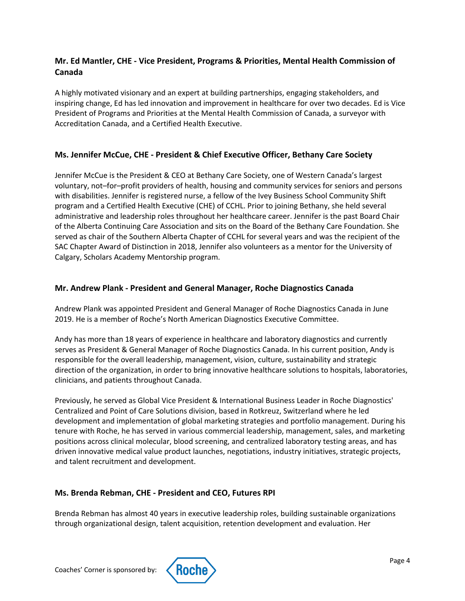# **Mr. Ed Mantler, CHE - Vice President, Programs & Priorities, Mental Health Commission of Canada**

A highly motivated visionary and an expert at building partnerships, engaging stakeholders, and inspiring change, Ed has led innovation and improvement in healthcare for over two decades. Ed is Vice President of Programs and Priorities at the Mental Health Commission of Canada, a surveyor with Accreditation Canada, and a Certified Health Executive.

## **Ms. Jennifer McCue, CHE - President & Chief Executive Officer, Bethany Care Society**

Jennifer McCue is the President & CEO at Bethany Care Society, one of Western Canada's largest voluntary, not–for–profit providers of health, housing and community services for seniors and persons with disabilities. Jennifer is registered nurse, a fellow of the Ivey Business School Community Shift program and a Certified Health Executive (CHE) of CCHL. Prior to joining Bethany, she held several administrative and leadership roles throughout her healthcare career. Jennifer is the past Board Chair of the Alberta Continuing Care Association and sits on the Board of the Bethany Care Foundation. She served as chair of the Southern Alberta Chapter of CCHL for several years and was the recipient of the SAC Chapter Award of Distinction in 2018, Jennifer also volunteers as a mentor for the University of Calgary, Scholars Academy Mentorship program.

#### **Mr. Andrew Plank - President and General Manager, Roche Diagnostics Canada**

Andrew Plank was appointed President and General Manager of Roche Diagnostics Canada in June 2019. He is a member of Roche's North American Diagnostics Executive Committee.

Andy has more than 18 years of experience in healthcare and laboratory diagnostics and currently serves as President & General Manager of Roche Diagnostics Canada. In his current position, Andy is responsible for the overall leadership, management, vision, culture, sustainability and strategic direction of the organization, in order to bring innovative healthcare solutions to hospitals, laboratories, clinicians, and patients throughout Canada.

Previously, he served as Global Vice President & International Business Leader in Roche Diagnostics' Centralized and Point of Care Solutions division, based in Rotkreuz, Switzerland where he led development and implementation of global marketing strategies and portfolio management. During his tenure with Roche, he has served in various commercial leadership, management, sales, and marketing positions across clinical molecular, blood screening, and centralized laboratory testing areas, and has driven innovative medical value product launches, negotiations, industry initiatives, strategic projects, and talent recruitment and development.

#### **Ms. Brenda Rebman, CHE - President and CEO, Futures RPI**

Brenda Rebman has almost 40 years in executive leadership roles, building sustainable organizations through organizational design, talent acquisition, retention development and evaluation. Her